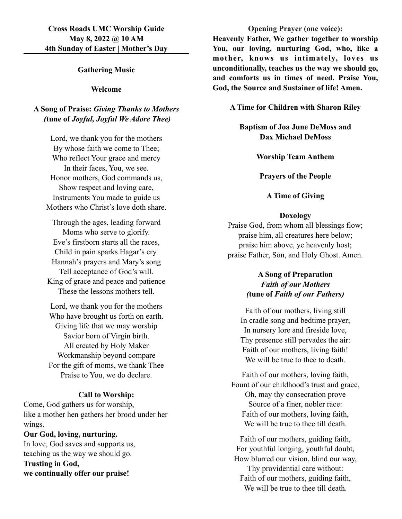## **Gathering Music**

### **Welcome**

# **A Song of Praise:** *Giving Thanks to Mothers (***tune of** *Joyful, Joyful We Adore Thee)*

Lord, we thank you for the mothers By whose faith we come to Thee; Who reflect Your grace and mercy In their faces, You, we see. Honor mothers, God commands us, Show respect and loving care, Instruments You made to guide us Mothers who Christ's love doth share.

Through the ages, leading forward Moms who serve to glorify. Eve's firstborn starts all the races, Child in pain sparks Hagar's cry. Hannah's prayers and Mary's song Tell acceptance of God's will. King of grace and peace and patience These the lessons mothers tell.

Lord, we thank you for the mothers Who have brought us forth on earth. Giving life that we may worship Savior born of Virgin birth. All created by Holy Maker Workmanship beyond compare For the gift of moms, we thank Thee Praise to You, we do declare.

### **Call to Worship:**

Come, God gathers us for worship, like a mother hen gathers her brood under her wings.

**Our God, loving, nurturing.** In love, God saves and supports us, teaching us the way we should go. **Trusting in God, we continually offer our praise!**

### **Opening Prayer (one voice):**

**Heavenly Father, We gather together to worship You, our loving, nurturing God, who, like a mother, knows us intimately, loves us unconditionally, teaches us the way we should go, and comforts us in times of need. Praise You, God, the Source and Sustainer of life! Amen.**

**A Time for Children with Sharon Riley**

**Baptism of Joa June DeMoss and Dax Michael DeMoss**

**Worship Team Anthem**

**Prayers of the People**

## **A Time of Giving**

#### **Doxology**

Praise God, from whom all blessings flow; praise him, all creatures here below; praise him above, ye heavenly host; praise Father, Son, and Holy Ghost. Amen.

# **A Song of Preparation** *Faith of our Mothers (***tune of** *Faith of our Fathers)*

Faith of our mothers, living still In cradle song and bedtime prayer; In nursery lore and fireside love, Thy presence still pervades the air: Faith of our mothers, living faith! We will be true to thee to death.

Faith of our mothers, loving faith, Fount of our childhood's trust and grace, Oh, may thy consecration prove Source of a finer, nobler race: Faith of our mothers, loving faith, We will be true to thee till death.

Faith of our mothers, guiding faith, For youthful longing, youthful doubt, How blurred our vision, blind our way, Thy providential care without: Faith of our mothers, guiding faith, We will be true to thee till death.